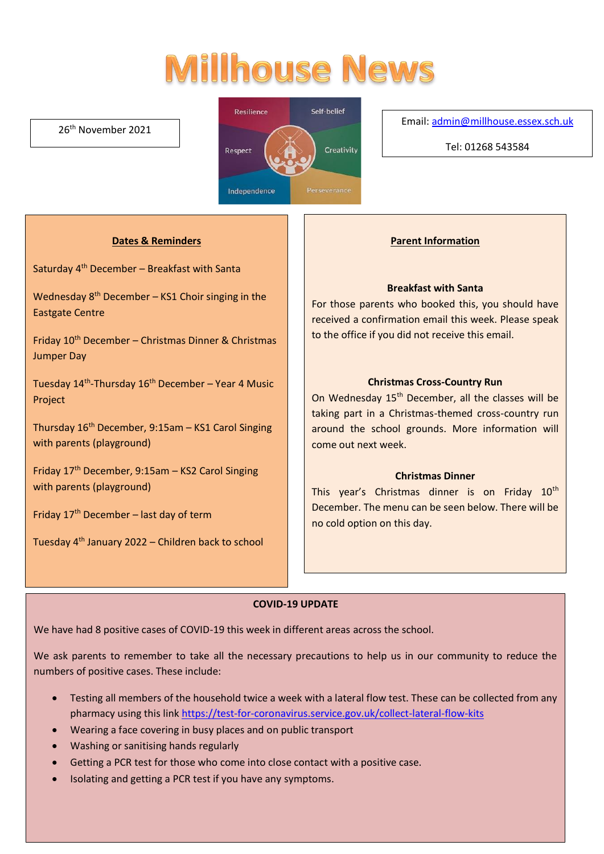# **Millhouse News**

#### 26th November 2021



#### Email[: admin@millhouse.essex.sch.uk](mailto:admin@millhouse.essex.sch.uk)

Tel: 01268 543584

#### **Dates & Reminders**

Saturday 4th December – Breakfast with Santa

Wednesday  $8<sup>th</sup>$  December – KS1 Choir singing in the Eastgate Centre

Friday 10th December – Christmas Dinner & Christmas Jumper Day

Tuesday 14<sup>th</sup>-Thursday 16<sup>th</sup> December – Year 4 Music Project

Thursday 16th December, 9:15am – KS1 Carol Singing with parents (playground)

Friday 17th December, 9:15am – KS2 Carol Singing with parents (playground)

Friday  $17<sup>th</sup>$  December – last day of term

Tuesday  $4<sup>th</sup>$  January 2022 – Children back to school

#### **Parent Information**

#### **Breakfast with Santa**

For those parents who booked this, you should have received a confirmation email this week. Please speak to the office if you did not receive this email.

#### **Christmas Cross-Country Run**

On Wednesday 15<sup>th</sup> December, all the classes will be taking part in a Christmas-themed cross-country run around the school grounds. More information will come out next week.

#### **Christmas Dinner**

This year's Christmas dinner is on Friday 10<sup>th</sup> December. The menu can be seen below. There will be no cold option on this day.

#### **COVID-19 UPDATE**

We have had 8 positive cases of COVID-19 this week in different areas across the school.

We ask parents to remember to take all the necessary precautions to help us in our community to reduce the numbers of positive cases. These include:

- Testing all members of the household twice a week with a lateral flow test. These can be collected from any pharmacy using this link<https://test-for-coronavirus.service.gov.uk/collect-lateral-flow-kits>
- Wearing a face covering in busy places and on public transport
- Washing or sanitising hands regularly
- Getting a PCR test for those who come into close contact with a positive case.
- Isolating and getting a PCR test if you have any symptoms.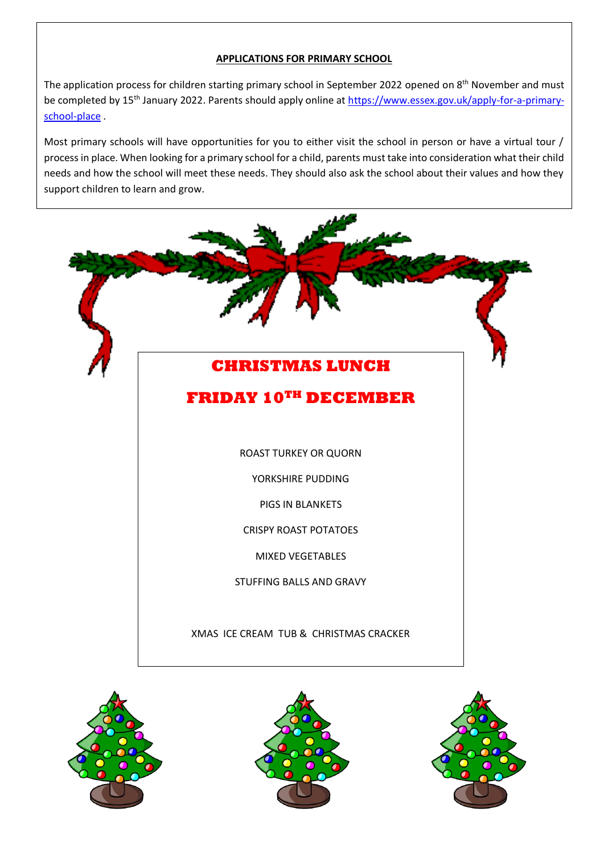#### **APPLICATIONS FOR PRIMARY SCHOOL**

The application process for children starting primary school in September 2022 opened on 8<sup>th</sup> November and must be completed by 15<sup>th</sup> January 2022. Parents should apply online at [https://www.essex.gov.uk/apply-for-a-primary](https://www.essex.gov.uk/apply-for-a-primary-school-place)[school-place](https://www.essex.gov.uk/apply-for-a-primary-school-place) .

Most primary schools will have opportunities for you to either visit the school in person or have a virtual tour / process in place. When looking for a primary school for a child, parents must take into consideration what their child needs and how the school will meet these needs. They should also ask the school about their values and how they support children to learn and grow.







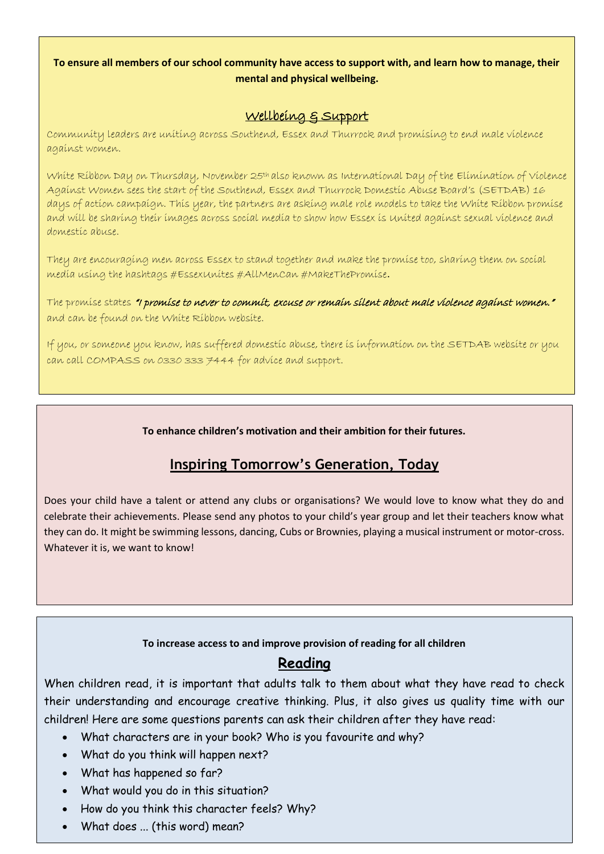#### **To ensure all members of our school community have access to support with, and learn how to manage, their mental and physical wellbeing.**

### Wellbeing & Support

Community leaders are uniting across Southend, Essex and Thurrock and promising to end male violence against women.

White Ribbon Day on Thursday, November 25<sup>th</sup> also known as International Day of the Elimination of Violence Against Women sees the start of the Southend, Essex and Thurrock Domestic Abuse Board's (SETDAB) 16 days of action campaign. This year, the partners are asking male role models to take the White Ribbon promise and will be sharing their images across social media to show how Essex is United against sexual violence and domestic abuse.

They are encouraging men across Essex to stand together and make the promise too, sharing them on social media using the hashtags #EssexUnites #AllMenCan #MakeThePromise.

The promise states "I promise to never to commit, excuse or remain silent about male violence against women." and can be found on the White Ribbon website.

If you, or someone you know, has suffered domestic abuse, there is information on the SETDAB website or you can call COMPASS on 0330 333 7444 for advice and support.

**To enhance children's motivation and their ambition for their futures.** 

# **Inspiring Tomorrow's Generation, Today**

Does your child have a talent or attend any clubs or organisations? We would love to know what they do and celebrate their achievements. Please send any photos to your child's year group and let their teachers know what they can do. It might be swimming lessons, dancing, Cubs or Brownies, playing a musical instrument or motor-cross. Whatever it is, we want to know!

#### **To increase access to and improve provision of reading for all children**

## **Reading**

When children read, it is important that adults talk to them about what they have read to check their understanding and encourage creative thinking. Plus, it also gives us quality time with our children! Here are some questions parents can ask their children after they have read:

- What characters are in your book? Who is you favourite and why?
- What do you think will happen next?
- What has happened so far?
- What would you do in this situation?
- How do you think this character feels? Why?
- What does ... (this word) mean?